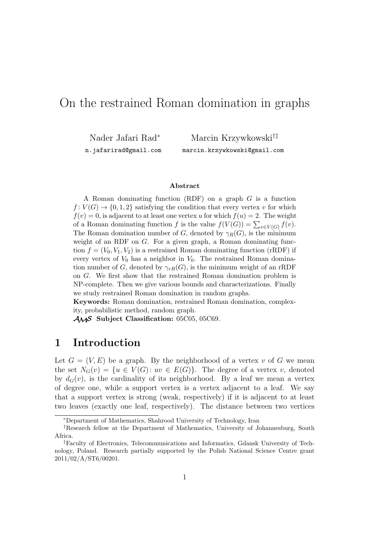# On the restrained Roman domination in graphs

Nader Jafari Rad*<sup>∗</sup>*

Marcin Krzywkowski*†‡* marcin.krzywkowski@gmail.com

n.jafarirad@gmail.com

**Abstract**

A Roman dominating function (RDF) on a graph *G* is a function  $f: V(G) \to \{0, 1, 2\}$  satisfying the condition that every vertex *v* for which  $f(v) = 0$ , is adjacent to at least one vertex *u* for which  $f(u) = 2$ . The weight of a Roman dominating function *f* is the value  $f(V(G)) = \sum_{v \in V(G)} f(v)$ . The Roman domination number of *G*, denoted by  $\gamma_R(G)$ , is the minimum weight of an RDF on *G*. For a given graph, a Roman dominating function  $f = (V_0, V_1, V_2)$  is a restrained Roman dominating function (rRDF) if every vertex of  $V_0$  has a neighbor in  $V_0$ . The restrained Roman domination number of *G*, denoted by  $\gamma_{rR}(G)$ , is the minimum weight of an rRDF on *G*. We first show that the restrained Roman domination problem is NP-complete. Then we give various bounds and characterizations. Finally we study restrained Roman domination in random graphs.

**Keywords:** Roman domination, restrained Roman domination, complexity, probabilistic method, random graph.

*AMS* **Subject Classification:** 05C05, 05C69.

### **1 Introduction**

Let  $G = (V, E)$  be a graph. By the neighborhood of a vertex *v* of G we mean the set  $N_G(v) = \{u \in V(G): uv \in E(G)\}.$  The degree of a vertex *v*, denoted by  $d_G(v)$ , is the cardinality of its neighborhood. By a leaf we mean a vertex of degree one, while a support vertex is a vertex adjacent to a leaf. We say that a support vertex is strong (weak, respectively) if it is adjacent to at least two leaves (exactly one leaf, respectively). The distance between two vertices

*<sup>∗</sup>*Department of Mathematics, Shahrood University of Technology, Iran

*<sup>†</sup>*Research fellow at the Department of Mathematics, University of Johannesburg, South Africa.

*<sup>‡</sup>*Faculty of Electronics, Telecommunications and Informatics, Gdansk University of Technology, Poland. Research partially supported by the Polish National Science Centre grant 2011/02/A/ST6/00201.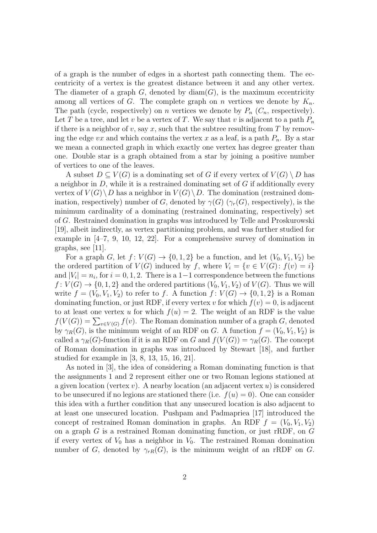of a graph is the number of edges in a shortest path connecting them. The eccentricity of a vertex is the greatest distance between it and any other vertex. The diameter of a graph  $G$ , denoted by  $\text{diam}(G)$ , is the maximum eccentricity among all vertices of *G*. The complete graph on *n* vertices we denote by  $K_n$ . The path (cycle, respectively) on *n* vertices we denote by  $P_n$  ( $C_n$ , respectively). Let *T* be a tree, and let *v* be a vertex of *T*. We say that *v* is adjacent to a path  $P_n$ if there is a neighbor of  $v$ , say  $x$ , such that the subtree resulting from  $T$  by removing the edge *vx* and which contains the vertex *x* as a leaf, is a path  $P_n$ . By a star we mean a connected graph in which exactly one vertex has degree greater than one. Double star is a graph obtained from a star by joining a positive number of vertices to one of the leaves.

A subset  $D \subseteq V(G)$  is a dominating set of *G* if every vertex of  $V(G) \setminus D$  has a neighbor in *D*, while it is a restrained dominating set of *G* if additionally every vertex of  $V(G) \setminus D$  has a neighbor in  $V(G) \setminus D$ . The domination (restrained domination, respectively) number of *G*, denoted by  $\gamma(G)$  ( $\gamma_r(G)$ , respectively), is the minimum cardinality of a dominating (restrained dominating, respectively) set of *G*. Restrained domination in graphs was introduced by Telle and Proskurowski [19], albeit indirectly, as vertex partitioning problem, and was further studied for example in [4–7, 9, 10, 12, 22]. For a comprehensive survey of domination in graphs, see [11].

For a graph *G*, let  $f: V(G) \to \{0, 1, 2\}$  be a function, and let  $(V_0, V_1, V_2)$  be the ordered partition of  $V(G)$  induced by *f*, where  $V_i = \{v \in V(G): f(v) = i\}$ and  $|V_i| = n_i$ , for  $i = 0, 1, 2$ . There is a 1-1 correspondence between the functions  $f: V(G) \to \{0, 1, 2\}$  and the ordered partitions  $(V_0, V_1, V_2)$  of  $V(G)$ . Thus we will write  $f = (V_0, V_1, V_2)$  to refer to f. A function  $f: V(G) \to \{0, 1, 2\}$  is a Roman dominating function, or just RDF, if every vertex *v* for which  $f(v) = 0$ , is adjacent to at least one vertex *u* for which  $f(u) = 2$ . The weight of an RDF is the value  $f(V(G)) = \sum_{v \in V(G)} f(v)$ . The Roman domination number of a graph *G*, denoted by  $\gamma_R(G)$ , is the minimum weight of an RDF on *G*. A function  $f = (V_0, V_1, V_2)$  is called a  $\gamma_R(G)$ -function if it is an RDF on *G* and  $f(V(G)) = \gamma_R(G)$ . The concept of Roman domination in graphs was introduced by Stewart [18], and further studied for example in [3, 8, 13, 15, 16, 21].

As noted in [3], the idea of considering a Roman dominating function is that the assignments 1 and 2 represent either one or two Roman legions stationed at a given location (vertex *v*). A nearby location (an adjacent vertex *u*) is considered to be unsecured if no legions are stationed there (i.e.  $f(u) = 0$ ). One can consider this idea with a further condition that any unsecured location is also adjacent to at least one unsecured location. Pushpam and Padmapriea [17] introduced the concept of restrained Roman domination in graphs. An RDF  $f = (V_0, V_1, V_2)$ on a graph *G* is a restrained Roman dominating function, or just rRDF, on *G* if every vertex of  $V_0$  has a neighbor in  $V_0$ . The restrained Roman domination number of *G*, denoted by  $\gamma_{rR}(G)$ , is the minimum weight of an rRDF on *G*.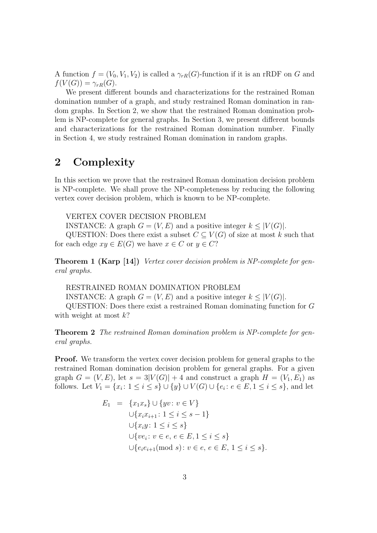A function  $f = (V_0, V_1, V_2)$  is called a  $\gamma_{rR}(G)$ -function if it is an rRDF on *G* and  $f(V(G)) = \gamma_{rR}(G).$ 

We present different bounds and characterizations for the restrained Roman domination number of a graph, and study restrained Roman domination in random graphs. In Section 2, we show that the restrained Roman domination problem is NP-complete for general graphs. In Section 3, we present different bounds and characterizations for the restrained Roman domination number. Finally in Section 4, we study restrained Roman domination in random graphs.

## **2 Complexity**

In this section we prove that the restrained Roman domination decision problem is NP-complete. We shall prove the NP-completeness by reducing the following vertex cover decision problem, which is known to be NP-complete.

VERTEX COVER DECISION PROBLEM

INSTANCE: A graph  $G = (V, E)$  and a positive integer  $k \leq |V(G)|$ .

QUESTION: Does there exist a subset  $C \subseteq V(G)$  of size at most *k* such that for each edge  $xy \in E(G)$  we have  $x \in C$  or  $y \in C$ ?

**Theorem 1 (Karp [14])** *Vertex cover decision problem is NP-complete for general graphs.*

RESTRAINED ROMAN DOMINATION PROBLEM INSTANCE: A graph  $G = (V, E)$  and a positive integer  $k \leq |V(G)|$ . QUESTION: Does there exist a restrained Roman dominating function for *G* with weight at most *k*?

**Theorem 2** *The restrained Roman domination problem is NP-complete for general graphs.*

**Proof.** We transform the vertex cover decision problem for general graphs to the restrained Roman domination decision problem for general graphs. For a given graph  $G = (V, E)$ , let  $s = 3|V(G)| + 4$  and construct a graph  $H = (V_1, E_1)$  as follows. Let  $V_1 = \{x_i : 1 \le i \le s\} \cup \{y\} \cup V(G) \cup \{e_i : e \in E, 1 \le i \le s\}$ , and let

$$
E_1 = \{x_1x_s\} \cup \{yv : v \in V\}
$$
  
\n
$$
\cup \{x_ix_{i+1} : 1 \le i \le s - 1\}
$$
  
\n
$$
\cup \{x_iy : 1 \le i \le s\}
$$
  
\n
$$
\cup \{ve_i : v \in e, e \in E, 1 \le i \le s\}
$$
  
\n
$$
\cup \{e_ie_{i+1}(\text{mod } s) : v \in e, e \in E, 1 \le i \le s\}.
$$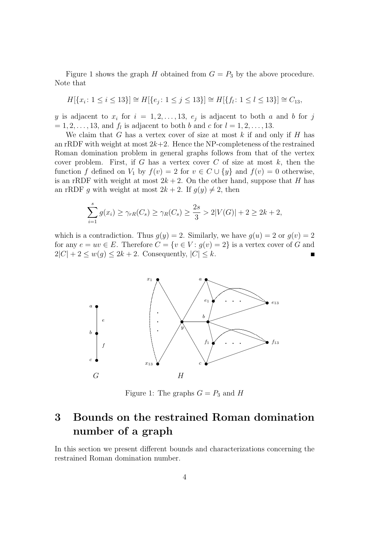Figure 1 shows the graph *H* obtained from  $G = P_3$  by the above procedure. Note that

$$
H[\{x_i \colon 1 \le i \le 13\}] \cong H[\{e_j \colon 1 \le j \le 13\}] \cong H[\{f_l \colon 1 \le l \le 13\}] \cong C_{13},
$$

*y* is adjacent to  $x_i$  for  $i = 1, 2, \ldots, 13, e_j$  is adjacent to both *a* and *b* for *j*  $= 1, 2, \ldots, 13$ , and  $f_l$  is adjacent to both *b* and *c* for  $l = 1, 2, \ldots, 13$ .

We claim that *G* has a vertex cover of size at most *k* if and only if *H* has an rRDF with weight at most  $2k+2$ . Hence the NP-completeness of the restrained Roman domination problem in general graphs follows from that of the vertex cover problem. First, if *G* has a vertex cover *C* of size at most *k*, then the function *f* defined on *V*<sub>1</sub> by  $f(v) = 2$  for  $v \in C \cup \{y\}$  and  $f(v) = 0$  otherwise, is an rRDF with weight at most  $2k + 2$ . On the other hand, suppose that *H* has an rRDF *g* with weight at most  $2k + 2$ . If  $g(y) \neq 2$ , then

$$
\sum_{i=1}^{s} g(x_i) \ge \gamma_{rR}(C_s) \ge \gamma_R(C_s) \ge \frac{2s}{3} > 2|V(G)| + 2 \ge 2k + 2,
$$

which is a contradiction. Thus  $g(y) = 2$ . Similarly, we have  $g(u) = 2$  or  $g(v) = 2$ for any  $e = uv \in E$ . Therefore  $C = \{v \in V : g(v) = 2\}$  is a vertex cover of *G* and  $2|C| + 2 \leq w(g) \leq 2k + 2$ . Consequently,  $|C| \leq k$ .



Figure 1: The graphs  $G = P_3$  and *H* 

# **3 Bounds on the restrained Roman domination number of a graph**

In this section we present different bounds and characterizations concerning the restrained Roman domination number.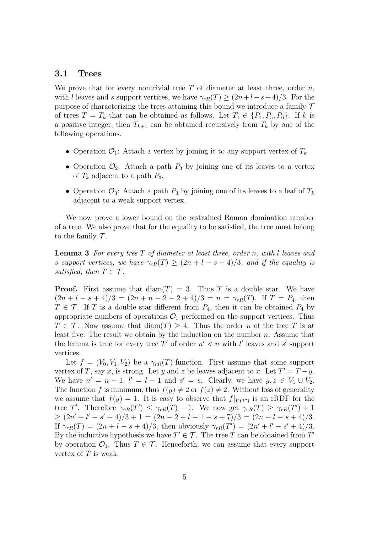#### **3.1 Trees**

We prove that for every nontrivial tree *T* of diameter at least three, order *n*, with *l* leaves and *s* support vertices, we have  $\gamma_{rR}(T) \geq (2n + l - s + 4)/3$ . For the purpose of characterizing the trees attaining this bound we introduce a family *T* of trees  $T = T_k$  that can be obtained as follows. Let  $T_1 \in \{P_4, P_5, P_6\}$ . If *k* is a positive integer, then  $T_{k+1}$  can be obtained recursively from  $T_k$  by one of the following operations.

- Operation  $\mathcal{O}_1$ : Attach a vertex by joining it to any support vertex of  $T_k$ .
- Operation  $\mathcal{O}_2$ : Attach a path  $P_3$  by joining one of its leaves to a vertex of  $T_k$  adjacent to a path  $P_3$ .
- Operation  $\mathcal{O}_3$ : Attach a path  $P_3$  by joining one of its leaves to a leaf of  $T_k$ adjacent to a weak support vertex.

We now prove a lower bound on the restrained Roman domination number of a tree. We also prove that for the equality to be satisfied, the tree must belong to the family  $\mathcal T$ .

**Lemma 3** *For every tree T of diameter at least three, order n, with l leaves and s support vertices, we have*  $\gamma_{rR}(T) \geq (2n + l - s + 4)/3$ *, and if the equality is satisfied, then*  $T \in \mathcal{T}$ *.* 

**Proof.** First assume that  $\text{diam}(T) = 3$ . Thus *T* is a double star. We have  $(2n + 1 - s + 4)/3 = (2n + n - 2 - 2 + 4)/3 = n = \gamma_{rR}(T)$ . If  $T = P_4$ , then  $T \in \mathcal{T}$ . If *T* is a double star different from  $P_4$ , then it can be obtained  $P_4$  by appropriate numbers of operations  $\mathcal{O}_1$  performed on the support vertices. Thus  $T \in \mathcal{T}$ . Now assume that  $\text{diam}(T) \geq 4$ . Thus the order *n* of the tree *T* is at least five. The result we obtain by the induction on the number *n*. Assume that the lemma is true for every tree  $T'$  of order  $n' < n$  with *l'* leaves and *s'* support vertices.

Let  $f = (V_0, V_1, V_2)$  be a  $\gamma_{rR}(T)$ -function. First assume that some support vertex of *T*, say *x*, is strong. Let *y* and *z* be leaves adjacent to *x*. Let  $T' = T - y$ . We have  $n' = n - 1$ ,  $l' = l - 1$  and  $s' = s$ . Clearly, we have  $y, z \in V_1 \cup V_2$ . The function *f* is minimum, thus  $f(y) \neq 2$  or  $f(z) \neq 2$ . Without loss of generality we assume that  $f(y) = 1$ . It is easy to observe that  $f|_{V(T)}$  is an rRDF for the tree *T'*. Therefore  $\gamma_{rR}(T') \leq \gamma_{rR}(T) - 1$ . We now get  $\gamma_{rR}(T) \geq \gamma_{rR}(T') + 1$  $\geq (2n'+l'-s'+4)/3+1 = (2n-2+l-1-s+7)/3 = (2n+l-s+4)/3.$ If  $\gamma_{rR}(T) = (2n + l - s + 4)/3$ , then obviously  $\gamma_{rR}(T') = (2n' + l' - s' + 4)/3$ . By the inductive hypothesis we have  $T' \in \mathcal{T}$ . The tree *T* can be obtained from  $T'$ by operation  $\mathcal{O}_1$ . Thus  $T \in \mathcal{T}$ . Henceforth, we can assume that every support vertex of *T* is weak.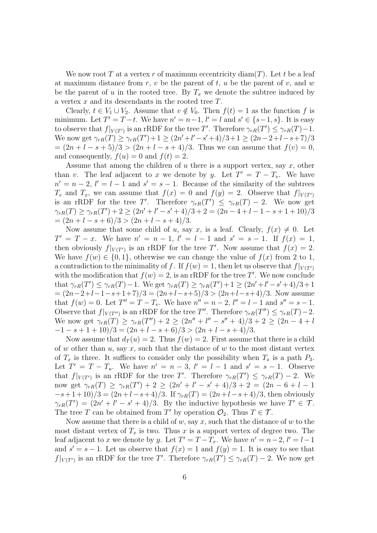We now root T at a vertex r of maximum eccentricity  $\text{diam}(T)$ . Let t be a leaf at maximum distance from *r*, *v* be the parent of *t*, *u* be the parent of *v*, and *w* be the parent of *u* in the rooted tree. By  $T_x$  we denote the subtree induced by a vertex *x* and its descendants in the rooted tree *T*.

Clearly,  $t \in V_1 \cup V_2$ . Assume that  $v \notin V_0$ . Then  $f(t) = 1$  as the function f is minimum. Let  $T' = T - t$ . We have  $n' = n - 1$ ,  $l' = l$  and  $s' \in \{s - 1, s\}$ . It is easy to observe that  $f|_{V(T')}$  is an rRDF for the tree *T'*. Therefore  $\gamma_{rR}(T') \leq \gamma_{rR}(T) - 1$ . We now get  $\gamma_{rR}(T) \ge \gamma_{rR}(T') + 1 \ge (2n' + l' - s' + 4)/3 + 1 \ge (2n - 2 + l - s + 7)/3$  $=(2n + 1 - s + 5)/3 > (2n + 1 - s + 4)/3$ . Thus we can assume that  $f(v) = 0$ , and consequently,  $f(u) = 0$  and  $f(t) = 2$ .

Assume that among the children of *u* there is a support vertex, say *x*, other than *v*. The leaf adjacent to *x* we denote by *y*. Let  $T' = T - T_v$ . We have  $n' = n - 2$ ,  $l' = l - 1$  and  $s' = s - 1$ . Because of the similarity of the subtrees *T*<sup>*v*</sup> and *T*<sub>*x*</sub>, we can assume that  $f(x) = 0$  and  $f(y) = 2$ . Observe that  $f|_{V(T)}$ is an rRDF for the tree *T'*. Therefore  $\gamma_{rR}(T') \leq \gamma_{rR}(T) - 2$ . We now get  $\gamma_{rR}(T) \geq \gamma_{rR}(T') + 2 \geq (2n' + l' - s' + 4)/3 + 2 = (2n - 4 + l - 1 - s + 1 + 10)/3$  $=(2n + l - s + 6)/3 > (2n + l - s + 4)/3.$ 

Now assume that some child of *u*, say *x*, is a leaf. Clearly,  $f(x) \neq 0$ . Let  $T' = T - x$ . We have  $n' = n - 1$ ,  $l' = l - 1$  and  $s' = s - 1$ . If  $f(x) = 1$ , then obviously  $f|_{V(T')}$  is an rRDF for the tree T'. Now assume that  $f(x) = 2$ . We have  $f(w) \in \{0, 1\}$ , otherwise we can change the value of  $f(x)$  from 2 to 1, a contradiction to the minimality of *f*. If  $f(w) = 1$ , then let us observe that  $f|_{V(T')}$ with the modification that  $f(w) = 2$ , is an rRDF for the tree T'. We now conclude that  $\gamma_{rR}(T') \leq \gamma_{rR}(T) - 1$ . We get  $\gamma_{rR}(T) \geq \gamma_{rR}(T') + 1 \geq (2n' + l' - s' + 4)/3 + 1$ = (2*n−*2+*l−*1*−s*+1+7)*/*3 = (2*n*+*l−s*+5)*/*3 *>* (2*n*+*l−s*+4)*/*3. Now assume that  $f(w) = 0$ . Let  $T'' = T - T_v$ . We have  $n'' = n - 2$ ,  $l'' = l - 1$  and  $s'' = s - 1$ . Observe that  $f|_{V(T'')}$  is an rRDF for the tree  $T''$ . Therefore  $\gamma_{rR}(T'') \leq \gamma_{rR}(T) - 2$ . We now get  $\gamma_{rR}(T) \geq \gamma_{rR}(T'')+2 \geq (2n''+l''-s''+4)/3+2 \geq (2n-4+l)$ *−*1 *− s* + 1 + 10)*/*3 = (2*n* + *l − s* + 6)*/*3 *>* (2*n* + *l − s* + 4)*/*3.

Now assume that  $d_T(u) = 2$ . Thus  $f(w) = 2$ . First assume that there is a child of *w* other than *u*, say *x*, such that the distance of *w* to the most distant vertex of  $T_x$  is three. It suffices to consider only the possibility when  $T_x$  is a path  $P_3$ . Let  $T' = T - T_u$ . We have  $n' = n - 3$ ,  $l' = l - 1$  and  $s' = s - 1$ . Observe that  $f|_{V(T')}$  is an rRDF for the tree *T'*. Therefore  $\gamma_{rR}(T') \leq \gamma_{rR}(T) - 2$ . We now get  $\gamma_{rR}(T) \geq \gamma_{rR}(T') + 2 \geq (2n' + l' - s' + 4)/3 + 2 = (2n - 6 + l - 1)$ *−s*+ 1 + 10)*/*3 = (2*n*+*l−s*+ 4)*/*3. If *γrR*(*T*) = (2*n*+*l−s*+ 4)*/*3, then obviously  $\gamma_{rR}(T') = (2n' + l' - s' + 4)/3$ . By the inductive hypothesis we have  $T' \in \mathcal{T}$ . The tree *T* can be obtained from *T'* by operation  $\mathcal{O}_2$ . Thus  $T \in \mathcal{T}$ .

Now assume that there is a child of *w*, say *x*, such that the distance of *w* to the most distant vertex of  $T_x$  is two. Thus x is a support vertex of degree two. The leaf adjacent to *x* we denote by *y*. Let  $T' = T - T_x$ . We have  $n' = n - 2$ ,  $l' = l - 1$ and  $s' = s - 1$ . Let us observe that  $f(x) = 1$  and  $f(y) = 1$ . It is easy to see that *f*<sup> $|V(T')|$ </sup> is an rRDF for the tree *T*'. Therefore  $\gamma_{rR}(T') \leq \gamma_{rR}(T) - 2$ . We now get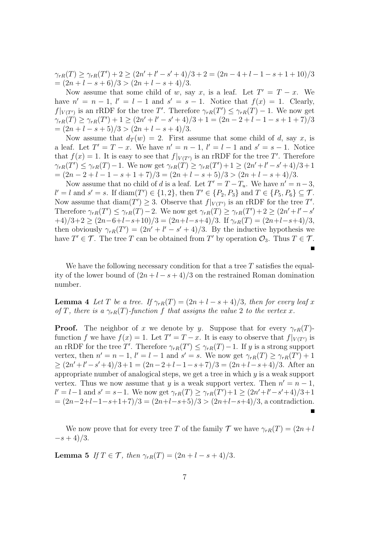$\gamma_{rR}(T) \geq \gamma_{rR}(T') + 2 \geq (2n' + l' - s' + 4)/3 + 2 = (2n - 4 + l - 1 - s + 1 + 10)/3$  $=(2n + l - s + 6)/3 > (2n + l - s + 4)/3.$ 

Now assume that some child of *w*, say *x*, is a leaf. Let  $T' = T - x$ . We have  $n' = n - 1$ ,  $l' = l - 1$  and  $s' = s - 1$ . Notice that  $f(x) = 1$ . Clearly, *f*<sup> $|V(T')|$ </sup> is an rRDF for the tree *T*'. Therefore  $\gamma_{rR}(T') \leq \gamma_{rR}(T) - 1$ . We now get  $\gamma_{rR}(T) \geq \gamma_{rR}(T')+1 \geq (2n'+l'-s'+4)/3+1 = (2n-2+l-1-s+1+7)/3$  $=(2n + l - s + 5)/3 > (2n + l - s + 4)/3.$ 

Now assume that  $d_T(w) = 2$ . First assume that some child of *d*, say *x*, is a leaf. Let  $T' = T - x$ . We have  $n' = n - 1$ ,  $l' = l - 1$  and  $s' = s - 1$ . Notice that  $f(x) = 1$ . It is easy to see that  $f|_{V(T')}$  is an rRDF for the tree T'. Therefore  $\gamma_{rR}(T') \leq \gamma_{rR}(T) - 1$ . We now get  $\gamma_{rR}(T) \geq \gamma_{rR}(T') + 1 \geq (2n' + l' - s' + 4)/3 + 1$  $=(2n-2+l-1-s+1+7)/3=(2n+l-s+5)/3>(2n+l-s+4)/3.$ 

Now assume that no child of *d* is a leaf. Let  $T' = T - T_u$ . We have  $n' = n - 3$ ,  $l' = l$  and  $s' = s$ . If  $\text{diam}(T') \in \{1, 2\}$ , then  $T' \in \{P_2, P_3\}$  and  $T \in \{P_5, P_6\} \subseteq \mathcal{T}$ . Now assume that  $\text{diam}(T') \geq 3$ . Observe that  $f|_{V(T')}$  is an rRDF for the tree  $T'$ . Therefore  $\gamma_{rR}(T') \leq \gamma_{rR}(T) - 2$ . We now get  $\gamma_{rR}(T) \geq \gamma_{rR}(T') + 2 \geq (2n' + l' - s')$ +4)*/*3+2 *≥* (2*n−*6+*l−s*+10)*/*3 = (2*n*+*l−s*+4)*/*3. If *γrR*(*T*) = (2*n*+*l−s*+4)*/*3, then obviously  $\gamma_{rR}(T') = (2n' + l' - s' + 4)/3$ . By the inductive hypothesis we have  $T' \in \mathcal{T}$ . The tree *T* can be obtained from *T'* by operation  $\mathcal{O}_3$ . Thus  $T \in \mathcal{T}$ .

We have the following necessary condition for that a tree *T* satisfies the equality of the lower bound of  $(2n + l - s + 4)/3$  on the restrained Roman domination number.

**Lemma 4** Let *T* be a tree. If  $\gamma_{rR}(T) = (2n + l - s + 4)/3$ , then for every leaf *x of T, there is a*  $\gamma_{rR}(T)$ *-function f that assigns the value* 2 *to the vertex x.* 

**Proof.** The neighbor of *x* we denote by *y*. Suppose that for every  $\gamma_{rR}(T)$ function *f* we have  $f(x) = 1$ . Let  $T' = T - x$ . It is easy to observe that  $f|_{V(T')}$  is an rRDF for the tree *T'*. Therefore  $\gamma_{rR}(T') \leq \gamma_{rR}(T) - 1$ . If *y* is a strong support vertex, then  $n' = n - 1$ ,  $l' = l - 1$  and  $s' = s$ . We now get  $\gamma_{rR}(T) \geq \gamma_{rR}(T') + 1$ *≥* (2*n ′* +*l ′ −s ′* +4)*/*3+1 = (2*n−*2+*l−*1*−s*+7)*/*3 = (2*n*+*l−s*+4)*/*3. After an appropriate number of analogical steps, we get a tree in which *y* is a weak support vertex. Thus we now assume that *y* is a weak support vertex. Then  $n' = n - 1$ ,  $l' = l - 1$  and  $s' = s - 1$ . We now get  $\gamma_{rR}(T) \ge \gamma_{rR}(T') + 1 \ge (2n' + l' - s' + 4)/3 + 1$ = (2*n−*2+*l−*1*−s*+1+7)*/*3 = (2*n*+*l−s*+5)*/*3 *>* (2*n*+*l−s*+4)*/*3, a contradiction.  $\blacksquare$ 

We now prove that for every tree *T* of the family  $\mathcal T$  we have  $\gamma_{rR}(T) = (2n + l)$ *−s* + 4)*/*3.

**Lemma 5** *If*  $T \in \mathcal{T}$ *, then*  $\gamma_{rR}(T) = (2n + l - s + 4)/3$ *.*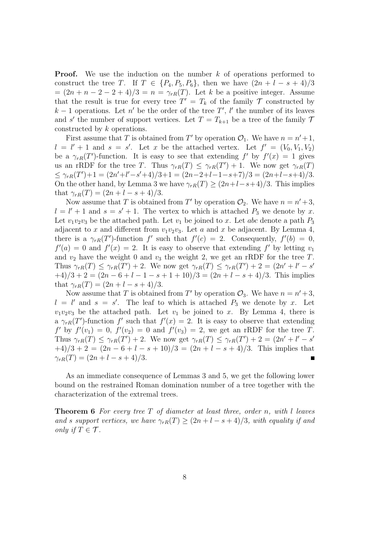**Proof.** We use the induction on the number k of operations performed to construct the tree *T*. If  $T \in \{P_4, P_5, P_6\}$ , then we have  $(2n + l - s + 4)/3$  $=(2n + n - 2 - 2 + 4)/3 = n = \gamma_{rR}(T)$ . Let *k* be a positive integer. Assume that the result is true for every tree  $T' = T_k$  of the family  $\mathcal T$  constructed by *k* − 1 operations. Let *n*<sup>*'*</sup> be the order of the tree *T'*, *l'* the number of its leaves and *s'* the number of support vertices. Let  $T = T_{k+1}$  be a tree of the family 7 constructed by *k* operations.

First assume that *T* is obtained from *T'* by operation  $\mathcal{O}_1$ . We have  $n = n' + 1$ ,  $l = l' + 1$  and  $s = s'$ . Let *x* be the attached vertex. Let  $f' = (V_0, V_1, V_2)$ be a  $\gamma_{rR}(T')$ -function. It is easy to see that extending  $f'$  by  $f'(x) = 1$  gives us an rRDF for the tree *T*. Thus  $\gamma_{rR}(T) \leq \gamma_{rR}(T') + 1$ . We now get  $\gamma_{rR}(T)$  $\leq \gamma_{rR}(T')+1 = (2n'+l'-s'+4)/3+1 = (2n-2+l-1-s+7)/3 = (2n+l-s+4)/3.$ On the other hand, by Lemma 3 we have  $\gamma_{rR}(T) \geq (2n+l-s+4)/3$ . This implies that  $\gamma_{rR}(T) = (2n + l - s + 4)/3$ .

Now assume that *T* is obtained from *T'* by operation  $\mathcal{O}_2$ . We have  $n = n' + 3$ ,  $l = l' + 1$  and  $s = s' + 1$ . The vertex to which is attached  $P_3$  we denote by *x*. Let  $v_1v_2v_3$  be the attached path. Let  $v_1$  be joined to *x*. Let *abc* denote a path  $P_3$ adjacent to *x* and different from  $v_1v_2v_3$ . Let *a* and *x* be adjacent. By Lemma 4, there is a  $\gamma_{rR}(T')$ -function  $f'$  such that  $f'(c) = 2$ . Consequently,  $f'(b) = 0$ ,  $f'(a) = 0$  and  $f'(x) = 2$ . It is easy to observe that extending  $f'$  by letting  $v_1$ and  $v_2$  have the weight 0 and  $v_3$  the weight 2, we get an rRDF for the tree  $T$ . Thus  $\gamma_{rR}(T) \leq \gamma_{rR}(T') + 2$ . We now get  $\gamma_{rR}(T) \leq \gamma_{rR}(T') + 2 = (2n' + l' - s')$ +4)*/*3 + 2 = (2*n −* 6 + *l −* 1 *− s* + 1 + 10)*/*3 = (2*n* + *l − s* + 4)*/*3. This implies that  $\gamma_{rR}(T) = (2n + l - s + 4)/3$ .

Now assume that *T* is obtained from *T'* by operation  $\mathcal{O}_3$ . We have  $n = n' + 3$ ,  $l = l'$  and  $s = s'$ . The leaf to which is attached  $P_3$  we denote by *x*. Let  $v_1v_2v_3$  be the attached path. Let  $v_1$  be joined to *x*. By Lemma 4, there is a  $\gamma_{rR}(T')$ -function  $f'$  such that  $f'(x) = 2$ . It is easy to observe that extending *f <i>f*  $\int f'(v_1) = 0$ ,  $f'(v_2) = 0$  and  $f'(v_3) = 2$ , we get an rRDF for the tree *T*. Thus  $\gamma_{rR}(T) \leq \gamma_{rR}(T') + 2$ . We now get  $\gamma_{rR}(T) \leq \gamma_{rR}(T') + 2 = (2n' + l' - s')$  $+4)/3 + 2 = (2n - 6 + l - s + 10)/3 = (2n + l - s + 4)/3$ . This implies that  $\gamma_{rR}(T) = (2n + l - s + 4)/3.$ Г

As an immediate consequence of Lemmas 3 and 5, we get the following lower bound on the restrained Roman domination number of a tree together with the characterization of the extremal trees.

**Theorem 6** *For every tree T of diameter at least three, order n, with l leaves and s* support vertices, we have  $\gamma_{rR}(T) \geq (2n + l - s + 4)/3$ , with equality if and *only if*  $T \in \mathcal{T}$ *.*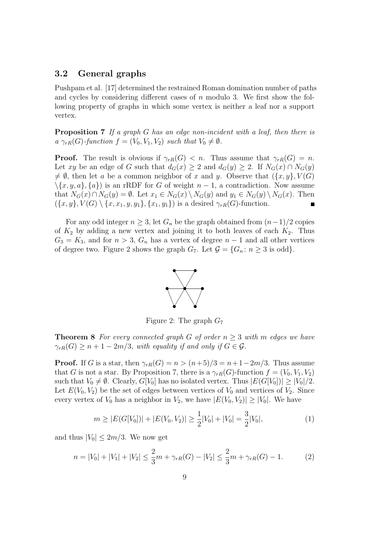#### **3.2 General graphs**

Pushpam et al. [17] determined the restrained Roman domination number of paths and cycles by considering different cases of *n* modulo 3. We first show the following property of graphs in which some vertex is neither a leaf nor a support vertex.

**Proposition 7** *If a graph G has an edge non-incident with a leaf, then there is*  $a \gamma_{rR}(G)$ -function  $f = (V_0, V_1, V_2)$  *such that*  $V_0 \neq \emptyset$ *.* 

**Proof.** The result is obvious if  $\gamma_{rR}(G) < n$ . Thus assume that  $\gamma_{rR}(G) = n$ . Let *xy* be an edge of *G* such that  $d_G(x) \geq 2$  and  $d_G(y) \geq 2$ . If  $N_G(x) \cap N_G(y)$  $\neq \emptyset$ , then let *a* be a common neighbor of *x* and *y*. Observe that  $({x, y}, V(G))$  $\langle \{x, y, a\}, \{a\}\rangle$  is an rRDF for *G* of weight *n* − 1, a contradiction. Now assume that  $N_G(x) \cap N_G(y) = \emptyset$ . Let  $x_1 \in N_G(x) \setminus N_G(y)$  and  $y_1 \in N_G(y) \setminus N_G(x)$ . Then  $(\{x, y\}, V(G) \setminus \{x, x_1, y, y_1\}, \{x_1, y_1\})$  is a desired  $\gamma_{rR}(G)$ -function.

For any odd integer  $n \geq 3$ , let  $G_n$  be the graph obtained from  $(n-1)/2$  copies of  $K_2$  by adding a new vertex and joining it to both leaves of each  $K_2$ . Thus  $G_3 = K_3$ , and for  $n > 3$ ,  $G_n$  has a vertex of degree  $n-1$  and all other vertices of degree two. Figure 2 shows the graph  $G_7$ . Let  $\mathcal{G} = \{G_n : n \geq 3 \text{ is odd}\}.$ 



Figure 2: The graph *G*<sup>7</sup>

**Theorem 8** *For every connected graph G of order*  $n \geq 3$  *with m edges we have*  $\gamma_{rR}(G) \geq n+1-2m/3$ , with equality if and only if  $G \in \mathcal{G}$ .

**Proof.** If *G* is a star, then  $\gamma_{rR}(G) = n > (n+5)/3 = n+1-2m/3$ . Thus assume that *G* is not a star. By Proposition 7, there is a  $\gamma_{rR}(G)$ -function  $f = (V_0, V_1, V_2)$ such that  $V_0 \neq \emptyset$ . Clearly,  $G[V_0]$  has no isolated vertex. Thus  $|E(G[V_0])| \geq |V_0|/2$ . Let  $E(V_0, V_2)$  be the set of edges between vertices of  $V_0$  and vertices of  $V_2$ . Since every vertex of  $V_0$  has a neighbor in  $V_2$ , we have  $|E(V_0, V_2)| \geq |V_0|$ . We have

$$
m \ge |E(G[V_0])| + |E(V_0, V_2)| \ge \frac{1}{2}|V_0| + |V_0| = \frac{3}{2}|V_0|,\tag{1}
$$

and thus  $|V_0| \leq 2m/3$ . We now get

$$
n = |V_0| + |V_1| + |V_2| \le \frac{2}{3}m + \gamma_{rR}(G) - |V_2| \le \frac{2}{3}m + \gamma_{rR}(G) - 1.
$$
 (2)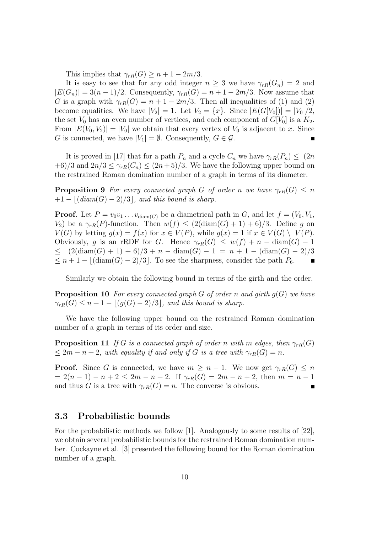This implies that  $\gamma_{rR}(G) \geq n+1-2m/3$ .

It is easy to see that for any odd integer  $n \geq 3$  we have  $\gamma_{rR}(G_n) = 2$  and  $|E(G_n)| = 3(n-1)/2$ . Consequently,  $\gamma_{rR}(G) = n+1-2m/3$ . Now assume that *G* is a graph with  $\gamma_{rR}(G) = n + 1 - 2m/3$ . Then all inequalities of (1) and (2) become equalities. We have  $|V_2| = 1$ . Let  $V_2 = \{x\}$ . Since  $|E(G[V_0])| = |V_0|/2$ , the set  $V_0$  has an even number of vertices, and each component of  $G[V_0]$  is a  $K_2$ . From  $|E(V_0, V_2)| = |V_0|$  we obtain that every vertex of  $V_0$  is adjacent to *x*. Since *G* is connected, we have  $|V_1| = \emptyset$ . Consequently,  $G \in \mathcal{G}$ . П

It is proved in [17] that for a path  $P_n$  and a cycle  $C_n$  we have  $\gamma_{rR}(P_n) \leq (2n)$  $+6/3$  and  $2n/3 \leq \gamma_{rR}(C_n) \leq (2n+5)/3$ . We have the following upper bound on the restrained Roman domination number of a graph in terms of its diameter.

**Proposition 9** *For every connected graph G of order n we have*  $\gamma_{rR}(G) \leq n$  $+1 - |(diam(G) - 2)/3|$ , and this bound is sharp.

**Proof.** Let  $P = v_0 v_1 \dots v_{\text{diam}(G)}$  be a diametrical path in  $G$ , and let  $f = (V_0, V_1, V_2, V_1, V_2, V_1, V_2, V_1, V_2, V_1, V_2, V_1, V_2, V_1, V_2, V_2, V_1, V_2, V_2, V_1, V_2, V_1, V_2, V_2, V_1, V_2, V_2, V_1, V_2, V_2, V_1, V_2, V_2, V_1, V_2, V_2$ *V*<sub>2</sub>) be a  $\gamma_{rR}(P)$ -function. Then  $w(f) \leq (2(\text{diam}(G) + 1) + 6)/3$ . Define *g* on *V*(*G*) by letting  $g(x) = f(x)$  for  $x \in V(P)$ , while  $g(x) = 1$  if  $x \in V(G) \setminus V(P)$ . Obviously, *g* is an rRDF for *G*. Hence  $\gamma_{rR}(G) \leq w(f) + n - \text{diam}(G) - 1$ *≤* (2(diam(*G*) + 1) + 6)*/*3 + *n −* diam(*G*) *−* 1 = *n* + 1 *−* (diam(*G*) *−* 2)*/*3  $≤ n + 1 - |(\text{diam}(G) - 2)/3|$ . To see the sharpness, consider the path  $P_6$ .

Similarly we obtain the following bound in terms of the girth and the order.

**Proposition 10** *For every connected graph G of order n and girth g*(*G*) *we have*  $\gamma_{rR}(G) \leq n+1 - |(g(G)-2)/3|$ *, and this bound is sharp.* 

We have the following upper bound on the restrained Roman domination number of a graph in terms of its order and size.

**Proposition 11** *If G is a connected graph of order n with m edges, then*  $\gamma_{rR}(G)$  $\leq 2m - n + 2$ *, with equality if and only if G is a tree with*  $\gamma_{rR}(G) = n$ *.* 

**Proof.** Since *G* is connected, we have  $m \geq n-1$ . We now get  $\gamma_{rR}(G) \leq n$  $= 2(n-1) - n + 2 \leq 2m - n + 2$ . If  $\gamma_{rR}(G) = 2m - n + 2$ , then  $m = n - 1$ and thus *G* is a tree with  $\gamma_{rR}(G) = n$ . The converse is obvious.

#### **3.3 Probabilistic bounds**

For the probabilistic methods we follow [1]. Analogously to some results of [22], we obtain several probabilistic bounds for the restrained Roman domination number. Cockayne et al. [3] presented the following bound for the Roman domination number of a graph.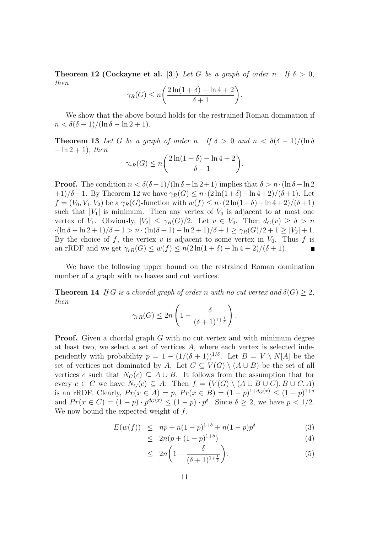**Theorem 12 (Cockayne et al. [3])** *Let G be a graph of order n.* If  $\delta > 0$ , *then*

$$
\gamma_R(G) \le n \bigg( \frac{2\ln(1+\delta) - \ln 4 + 2}{\delta + 1} \bigg).
$$

We show that the above bound holds for the restrained Roman domination if  $n < \delta(\delta - 1)/(\ln \delta - \ln 2 + 1).$ 

**Theorem 13** Let G be a graph of order *n*. If  $\delta > 0$  and  $n < \delta(\delta - 1)/(\ln \delta)$ *−* ln 2 + 1)*, then*

$$
\gamma_{rR}(G) \le n \bigg( \frac{2\ln(1+\delta) - \ln 4 + 2}{\delta + 1} \bigg).
$$

**Proof.** The condition  $n < \delta(\delta - 1)/(\ln \delta - \ln 2 + 1)$  implies that  $\delta > n \cdot (\ln \delta - \ln 2 + 1)$  $+1)/\delta+1$ . By Theorem 12 we have  $\gamma_R(G) \leq n \cdot (2\ln(1+\delta) - \ln 4+2)/(\delta+1)$ . Let *f* =  $(V_0, V_1, V_2)$  be a  $\gamma_R(G)$ -function with  $w(f) \leq n \cdot (2 \ln(1+\delta) - \ln 4 + 2) / (\delta + 1)$ such that  $|V_1|$  is minimum. Then any vertex of  $V_0$  is adjacent to at most one vertex of *V*<sub>1</sub>. Obviously,  $|V_2| \leq \gamma_R(G)/2$ . Let  $v \in V_0$ . Then  $d_G(v) \geq \delta > n$ *·*(ln *δ −* ln 2 + 1)*/δ* + 1 *> n ·*(ln(*δ* + 1) *−* ln 2 + 1)*/δ* + 1 *≥ γR*(*G*)*/*2 + 1 *≥ |V*2*|* + 1. By the choice of  $f$ , the vertex  $v$  is adjacent to some vertex in  $V_0$ . Thus  $f$  is an rRDF and we get  $\gamma_{rR}(G) \leq w(f) \leq n(2\ln(1+\delta) - \ln 4 + 2)/( \delta + 1).$ 

We have the following upper bound on the restrained Roman domination number of a graph with no leaves and cut vertices.

**Theorem 14** *If G is a chordal graph of order n with no cut vertex and*  $\delta(G) \geq 2$ *, then*

$$
\gamma_{rR}(G) \le 2n \left(1 - \frac{\delta}{(\delta+1)^{1+\frac{1}{\delta}}}\right).
$$

**Proof.** Given a chordal graph G with no cut vertex and with minimum degree at least two, we select a set of vertices *A*, where each vertex is selected independently with probability  $p = 1 - (1/(\delta + 1))^{1/\delta}$ . Let  $B = V \setminus N[A]$  be the set of vertices not dominated by *A*. Let  $C \subseteq V(G) \setminus (A \cup B)$  be the set of all vertices *c* such that  $N_G(c) \subseteq A \cup B$ . It follows from the assumption that for every  $c \in C$  we have  $N_G(c) \subseteq A$ . Then  $f = (V(G) \setminus (A \cup B \cup C), B \cup C, A)$ is an rRDF. Clearly,  $Pr(x \in A) = p$ ,  $Pr(x \in B) = (1 - p)^{1 + d_G(x)} \leq (1 - p)^{1 + \delta}$ and  $Pr(x \in C) = (1-p) \cdot p^{d_G(x)} \le (1-p) \cdot p^{\delta}$ . Since  $\delta \ge 2$ , we have  $p < 1/2$ . We now bound the expected weight of *f*,

$$
E(w(f)) \le np + n(1-p)^{1+\delta} + n(1-p)p^{\delta} \tag{3}
$$

$$
\leq 2n(p + (1 - p)^{1 + \delta}) \tag{4}
$$

$$
\leq 2n\left(1 - \frac{\delta}{(\delta+1)^{1+\frac{1}{\delta}}}\right). \tag{5}
$$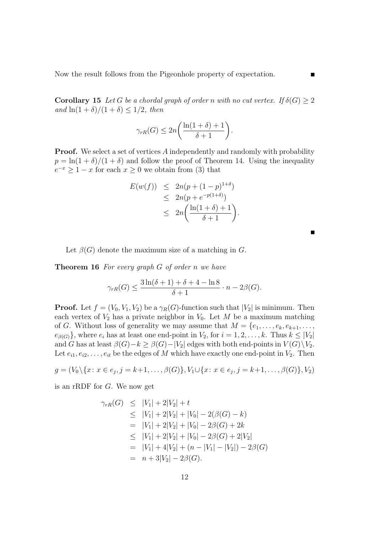Now the result follows from the Pigeonhole property of expectation.

**Corollary 15** *Let G be a chordal graph of order n with no cut vertex. If*  $\delta(G) \geq 2$ *and*  $\ln(1+\delta)/(1+\delta) < 1/2$ , then

$$
\gamma_{rR}(G) \le 2n \bigg( \frac{\ln(1+\delta)+1}{\delta+1} \bigg).
$$

**Proof.** We select a set of vertices A independently and randomly with probability  $p = \ln(1+\delta)/(1+\delta)$  and follow the proof of Theorem 14. Using the inequality  $e^{-x} \geq 1 - x$  for each  $x \geq 0$  we obtain from (3) that

$$
E(w(f)) \leq 2n(p + (1 - p)^{1+\delta})
$$
  
\n
$$
\leq 2n(p + e^{-p(1+\delta)})
$$
  
\n
$$
\leq 2n\left(\frac{\ln(1+\delta)+1}{\delta+1}\right).
$$

Let  $\beta(G)$  denote the maximum size of a matching in *G*.

**Theorem 16** *For every graph G of order n we have*

$$
\gamma_{rR}(G) \le \frac{3\ln(\delta+1) + \delta + 4 - \ln 8}{\delta + 1} \cdot n - 2\beta(G).
$$

**Proof.** Let  $f = (V_0, V_1, V_2)$  be a  $\gamma_R(G)$ -function such that  $|V_2|$  is minimum. Then each vertex of  $V_2$  has a private neighbor in  $V_0$ . Let M be a maximum matching of *G*. Without loss of generality we may assume that  $M = \{e_1, \ldots, e_k, e_{k+1}, \ldots,$  $e_{\beta(G)}$ }, where  $e_i$  has at least one end-point in  $V_2$ , for  $i = 1, 2, \ldots, k$ . Thus  $k \leq |V_2|$ and *G* has at least  $\beta(G) - k \geq \beta(G) - |V_2|$  edges with both end-points in  $V(G) \setminus V_2$ . Let  $e_{i1}, e_{i2}, \ldots, e_{it}$  be the edges of *M* which have exactly one end-point in  $V_2$ . Then

$$
g = (V_0 \setminus \{x \colon x \in e_j, j = k+1, \dots, \beta(G)\}, V_1 \cup \{x \colon x \in e_j, j = k+1, \dots, \beta(G)\}, V_2)
$$

is an rRDF for *G*. We now get

$$
\gamma_{rR}(G) \le |V_1| + 2|V_2| + t
$$
  
\n
$$
\le |V_1| + 2|V_2| + |V_0| - 2(\beta(G) - k)
$$
  
\n
$$
= |V_1| + 2|V_2| + |V_0| - 2\beta(G) + 2k
$$
  
\n
$$
\le |V_1| + 2|V_2| + |V_0| - 2\beta(G) + 2|V_2|
$$
  
\n
$$
= |V_1| + 4|V_2| + (n - |V_1| - |V_2|) - 2\beta(G)
$$
  
\n
$$
= n + 3|V_2| - 2\beta(G).
$$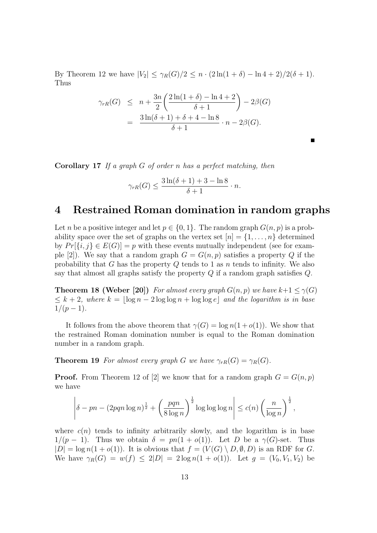By Theorem 12 we have  $|V_2| \leq \gamma_R(G)/2 \leq n \cdot (2\ln(1+\delta) - \ln 4 + 2)/2(\delta + 1)$ . Thus

$$
\gamma_{rR}(G) \le n + \frac{3n}{2} \left( \frac{2\ln(1+\delta) - \ln 4 + 2}{\delta + 1} \right) - 2\beta(G)
$$
  
= 
$$
\frac{3\ln(\delta + 1) + \delta + 4 - \ln 8}{\delta + 1} \cdot n - 2\beta(G).
$$

**Corollary 17** *If a graph G of order n has a perfect matching, then*

$$
\gamma_{rR}(G) \le \frac{3\ln(\delta+1) + 3 - \ln 8}{\delta + 1} \cdot n.
$$

### **4 Restrained Roman domination in random graphs**

Let *n* be a positive integer and let  $p \in \{0, 1\}$ . The random graph  $G(n, p)$  is a probability space over the set of graphs on the vertex set  $[n] = \{1, \ldots, n\}$  determined by  $Pr[\{i, j\} \in E(G)] = p$  with these events mutually independent (see for example [2]). We say that a random graph  $G = G(n, p)$  satisfies a property Q if the probability that *G* has the property *Q* tends to 1 as *n* tends to infinity. We also say that almost all graphs satisfy the property *Q* if a random graph satisfies *Q*.

**Theorem 18 (Weber [20])** For almost every graph  $G(n, p)$  we have  $k+1 \leq \gamma(G)$  $\leq k+2$ , where  $k = \lfloor \log n - 2 \log \log n + \log \log e \rfloor$  and the logarithm is in base  $1/(p-1)$ .

It follows from the above theorem that  $\gamma(G) = \log n(1 + o(1))$ . We show that the restrained Roman domination number is equal to the Roman domination number in a random graph.

**Theorem 19** *For almost every graph G we have*  $\gamma_{rR}(G) = \gamma_{R}(G)$ *.* 

**Proof.** From Theorem 12 of [2] we know that for a random graph  $G = G(n, p)$ we have

$$
\left|\delta - pn - (2pqn\log n)^{\frac{1}{2}} + \left(\frac{pqn}{8\log n}\right)^{\frac{1}{2}}\log\log\log n\right| \le c(n)\left(\frac{n}{\log n}\right)^{\frac{1}{2}},
$$

where  $c(n)$  tends to infinity arbitrarily slowly, and the logarithm is in base 1/ $(p-1)$ . Thus we obtain  $\delta = pn(1 + o(1))$ . Let *D* be a  $\gamma(G)$ -set. Thus  $|D| = \log n(1 + o(1))$ . It is obvious that  $f = (V(G) \setminus D, \emptyset, D)$  is an RDF for *G*. We have  $\gamma_R(G) = w(f) \leq 2|D| = 2 \log n(1 + o(1))$ . Let  $g = (V_0, V_1, V_2)$  be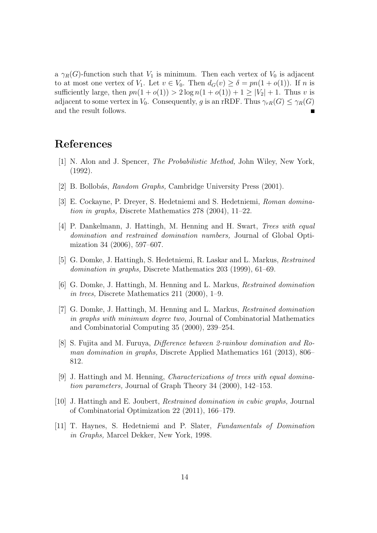a  $\gamma_R(G)$ -function such that  $V_1$  is minimum. Then each vertex of  $V_0$  is adjacent to at most one vertex of *V*<sub>1</sub>. Let  $v \in V_0$ . Then  $d_G(v) \geq \delta = pn(1 + o(1))$ . If *n* is sufficiently large, then  $pn(1 + o(1)) > 2 \log n(1 + o(1)) + 1 \geq |V_2| + 1$ . Thus *v* is adjacent to some vertex in *V*<sub>0</sub>. Consequently, *g* is an rRDF. Thus  $\gamma_{rR}(G) \leq \gamma_{R}(G)$ and the result follows.  $\blacksquare$ 

## **References**

- [1] N. Alon and J. Spencer, *The Probabilistic Method,* John Wiley, New York, (1992).
- [2] B. Bollob´as, *Random Graphs,* Cambridge University Press (2001).
- [3] E. Cockayne, P. Dreyer, S. Hedetniemi and S. Hedetniemi, *Roman domination in graphs,* Discrete Mathematics 278 (2004), 11–22.
- [4] P. Dankelmann, J. Hattingh, M. Henning and H. Swart, *Trees with equal domination and restrained domination numbers,* Journal of Global Optimization 34 (2006), 597–607.
- [5] G. Domke, J. Hattingh, S. Hedetniemi, R. Laskar and L. Markus, *Restrained domination in graphs,* Discrete Mathematics 203 (1999), 61–69.
- [6] G. Domke, J. Hattingh, M. Henning and L. Markus, *Restrained domination in trees,* Discrete Mathematics 211 (2000), 1–9.
- [7] G. Domke, J. Hattingh, M. Henning and L. Markus, *Restrained domination in graphs with minimum degree two,* Journal of Combinatorial Mathematics and Combinatorial Computing 35 (2000), 239–254.
- [8] S. Fujita and M. Furuya, *Difference between 2-rainbow domination and Roman domination in graphs,* Discrete Applied Mathematics 161 (2013), 806– 812.
- [9] J. Hattingh and M. Henning, *Characterizations of trees with equal domination parameters,* Journal of Graph Theory 34 (2000), 142–153.
- [10] J. Hattingh and E. Joubert, *Restrained domination in cubic graphs,* Journal of Combinatorial Optimization 22 (2011), 166–179.
- [11] T. Haynes, S. Hedetniemi and P. Slater, *Fundamentals of Domination in Graphs,* Marcel Dekker, New York, 1998.